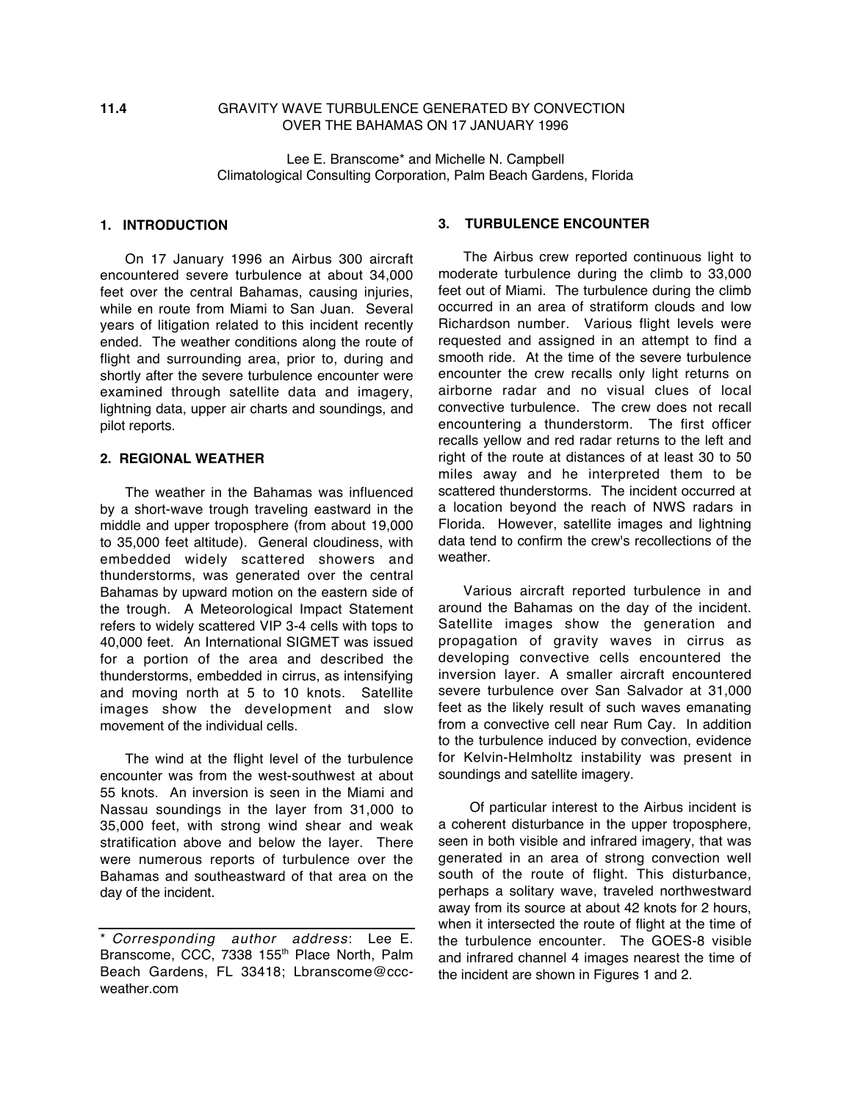# **11.4** GRAVITY WAVE TURBULENCE GENERATED BY CONVECTION OVER THE BAHAMAS ON 17 JANUARY 1996

Lee E. Branscome\* and Michelle N. Campbell Climatological Consulting Corporation, Palm Beach Gardens, Florida

# **1. INTRODUCTION**

On 17 January 1996 an Airbus 300 aircraft encountered severe turbulence at about 34,000 feet over the central Bahamas, causing injuries, while en route from Miami to San Juan. Several years of litigation related to this incident recently ended. The weather conditions along the route of flight and surrounding area, prior to, during and shortly after the severe turbulence encounter were examined through satellite data and imagery, lightning data, upper air charts and soundings, and pilot reports.

### **2. REGIONAL WEATHER**

The weather in the Bahamas was influenced by a short-wave trough traveling eastward in the middle and upper troposphere (from about 19,000 to 35,000 feet altitude). General cloudiness, with embedded widely scattered showers and thunderstorms, was generated over the central Bahamas by upward motion on the eastern side of the trough. A Meteorological Impact Statement refers to widely scattered VIP 3-4 cells with tops to 40,000 feet. An International SIGMET was issued for a portion of the area and described the thunderstorms, embedded in cirrus, as intensifying and moving north at 5 to 10 knots. Satellite images show the development and slow movement of the individual cells.

The wind at the flight level of the turbulence encounter was from the west-southwest at about 55 knots. An inversion is seen in the Miami and Nassau soundings in the layer from 31,000 to 35,000 feet, with strong wind shear and weak stratification above and below the layer. There were numerous reports of turbulence over the Bahamas and southeastward of that area on the day of the incident.

### **3. TURBULENCE ENCOUNTER**

The Airbus crew reported continuous light to moderate turbulence during the climb to 33,000 feet out of Miami. The turbulence during the climb occurred in an area of stratiform clouds and low Richardson number. Various flight levels were requested and assigned in an attempt to find a smooth ride. At the time of the severe turbulence encounter the crew recalls only light returns on airborne radar and no visual clues of local convective turbulence. The crew does not recall encountering a thunderstorm. The first officer recalls yellow and red radar returns to the left and right of the route at distances of at least 30 to 50 miles away and he interpreted them to be scattered thunderstorms. The incident occurred at a location beyond the reach of NWS radars in Florida. However, satellite images and lightning data tend to confirm the crew's recollections of the weather.

Various aircraft reported turbulence in and around the Bahamas on the day of the incident. Satellite images show the generation and propagation of gravity waves in cirrus as developing convective cells encountered the inversion layer. A smaller aircraft encountered severe turbulence over San Salvador at 31,000 feet as the likely result of such waves emanating from a convective cell near Rum Cay. In addition to the turbulence induced by convection, evidence for Kelvin-Helmholtz instability was present in soundings and satellite imagery.

Of particular interest to the Airbus incident is a coherent disturbance in the upper troposphere, seen in both visible and infrared imagery, that was generated in an area of strong convection well south of the route of flight. This disturbance, perhaps a solitary wave, traveled northwestward away from its source at about 42 knots for 2 hours, when it intersected the route of flight at the time of the turbulence encounter. The GOES-8 visible and infrared channel 4 images nearest the time of the incident are shown in Figures 1 and 2.

<sup>\*</sup> Corresponding author address: Lee E. Branscome, CCC, 7338 155<sup>th</sup> Place North, Palm Beach Gardens, FL 33418; Lbranscome@cccweather.com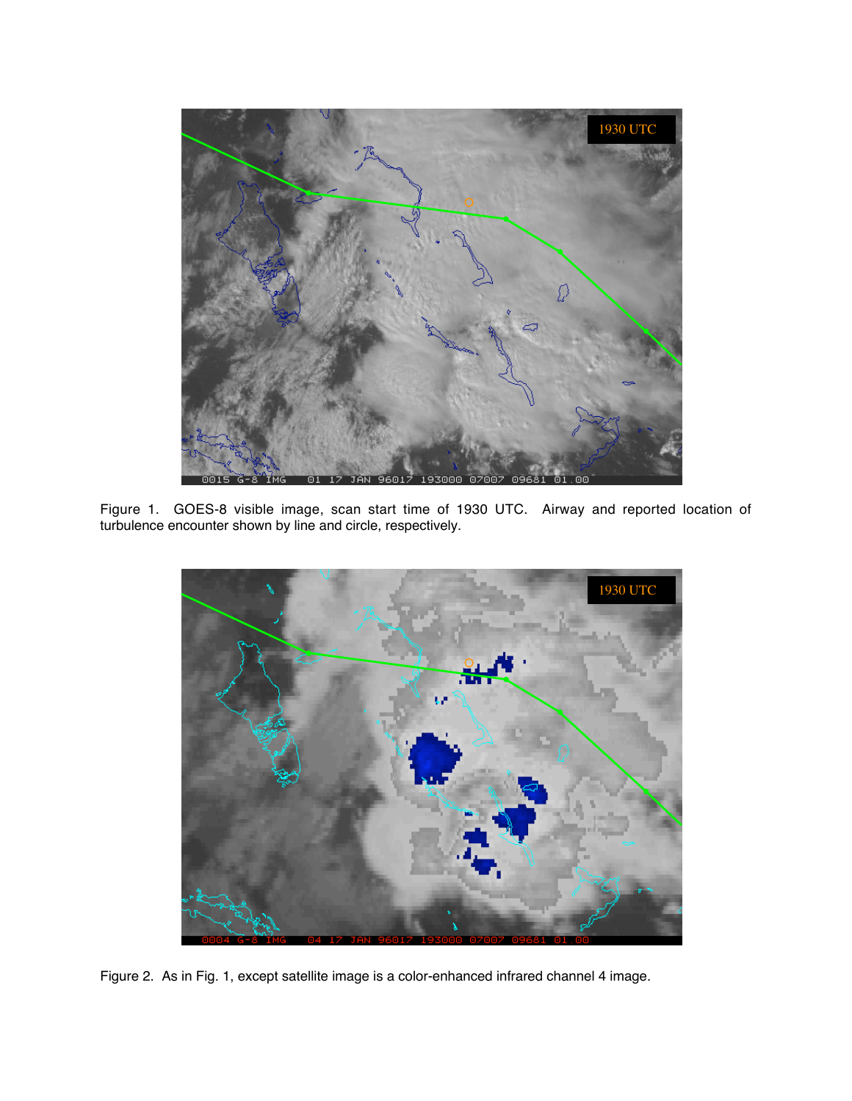

Figure 1. GOES-8 visible image, scan start time of 1930 UTC. Airway and reported location of turbulence encounter shown by line and circle, respectively.



Figure 2. As in Fig. 1, except satellite image is a color-enhanced infrared channel 4 image.